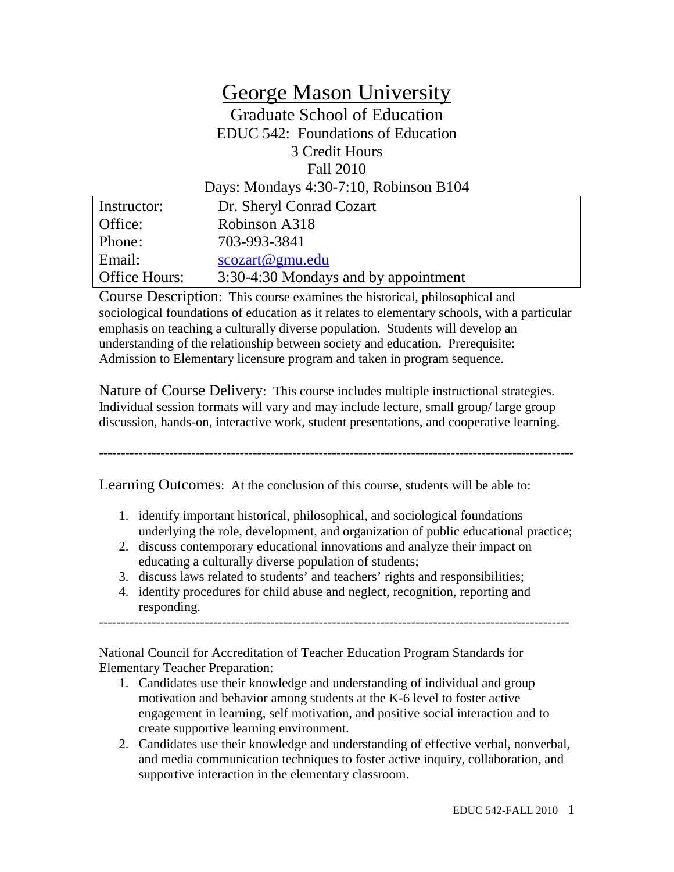# George Mason University Graduate School of Education EDUC 542: Foundations of Education 3 Credit Hours Fall 2010 Days: Mondays 4:30-7:10, Robinson B104

| Instructor:   | Dr. Sheryl Conrad Cozart             |
|---------------|--------------------------------------|
| Office:       | Robinson A318                        |
| Phone:        | 703-993-3841                         |
| Email:        | scozart@gmu.edu                      |
| Office Hours: | 3:30-4:30 Mondays and by appointment |

Course Description: This course examines the historical, philosophical and sociological foundations of education as it relates to elementary schools, with a particular emphasis on teaching a culturally diverse population. Students will develop an understanding of the relationship between society and education. Prerequisite: Admission to Elementary licensure program and taken in program sequence.

Nature of Course Delivery:This course includes multiple instructional strategies. Individual session formats will vary and may include lecture, small group/ large group discussion, hands-on, interactive work, student presentations, and cooperative learning.

------------------------------------------------------------------------------------------------------------

Learning Outcomes: At the conclusion of this course, students will be able to:

- 1. identify important historical, philosophical, and sociological foundations underlying the role, development, and organization of public educational practice;
- 2. discuss contemporary educational innovations and analyze their impact on educating a culturally diverse population of students;
- 3. discuss laws related to students' and teachers' rights and responsibilities;
- 4. identify procedures for child abuse and neglect, recognition, reporting and responding.

-----------------------------------------------------------------------------------------------------------

National Council for Accreditation of Teacher Education Program Standards for Elementary Teacher Preparation:

- 1. Candidates use their knowledge and understanding of individual and group motivation and behavior among students at the K-6 level to foster active engagement in learning, self motivation, and positive social interaction and to create supportive learning environment.
- 2. Candidates use their knowledge and understanding of effective verbal, nonverbal, and media communication techniques to foster active inquiry, collaboration, and supportive interaction in the elementary classroom.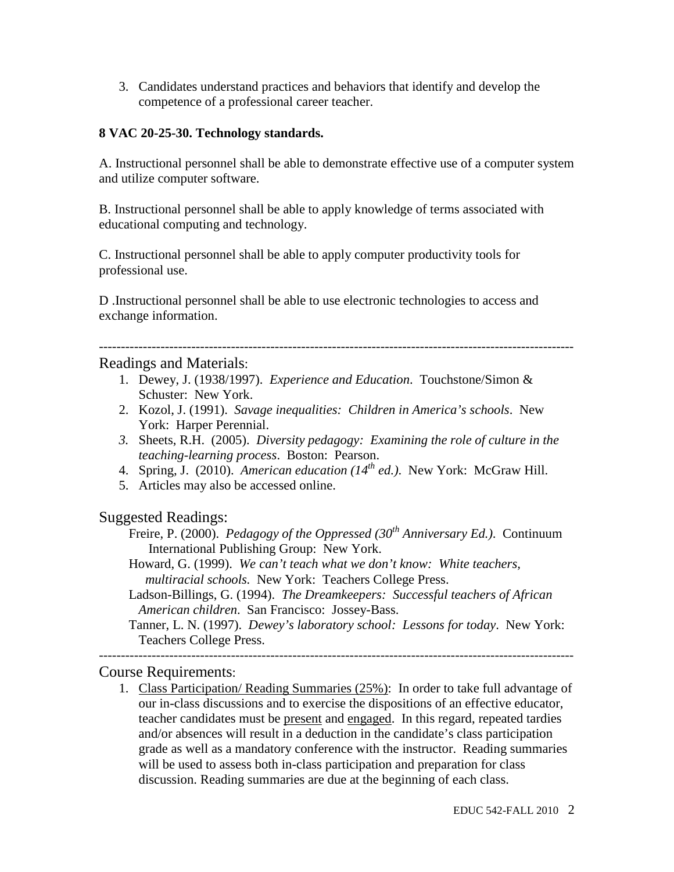3. Candidates understand practices and behaviors that identify and develop the competence of a professional career teacher.

### **8 VAC 20-25-30. Technology standards.**

A. Instructional personnel shall be able to demonstrate effective use of a computer system and utilize computer software.

B. Instructional personnel shall be able to apply knowledge of terms associated with educational computing and technology.

C. Instructional personnel shall be able to apply computer productivity tools for professional use.

D .Instructional personnel shall be able to use electronic technologies to access and exchange information.

## Readings and Materials:

1. Dewey, J. (1938/1997). *Experience and Education*. Touchstone/Simon & Schuster: New York.

------------------------------------------------------------------------------------------------------------

- 2. Kozol, J. (1991). *Savage inequalities: Children in America's schools*. New York: Harper Perennial.
- *3.* Sheets, R.H. (2005). *Diversity pedagogy: Examining the role of culture in the teaching-learning process*. Boston: Pearson.
- 4. Spring, J. (2010). *American education (14th ed.)*. New York: McGraw Hill.
- 5. Articles may also be accessed online.

# Suggested Readings:

- Freire, P. (2000). *Pedagogy of the Oppressed (30th Anniversary Ed.)*. Continuum International Publishing Group: New York.
- Howard, G. (1999). *We can't teach what we don't know: White teachers, multiracial schools.* New York: Teachers College Press.
- Ladson-Billings, G. (1994). *The Dreamkeepers: Successful teachers of African American children*. San Francisco: Jossey-Bass.
- Tanner, L. N. (1997). *Dewey's laboratory school: Lessons for today*. New York: Teachers College Press.

### ------------------------------------------------------------------------------------------------------------ Course Requirements:

1. Class Participation/ Reading Summaries (25%): In order to take full advantage of our in-class discussions and to exercise the dispositions of an effective educator, teacher candidates must be present and engaged. In this regard, repeated tardies and/or absences will result in a deduction in the candidate's class participation grade as well as a mandatory conference with the instructor. Reading summaries will be used to assess both in-class participation and preparation for class discussion. Reading summaries are due at the beginning of each class.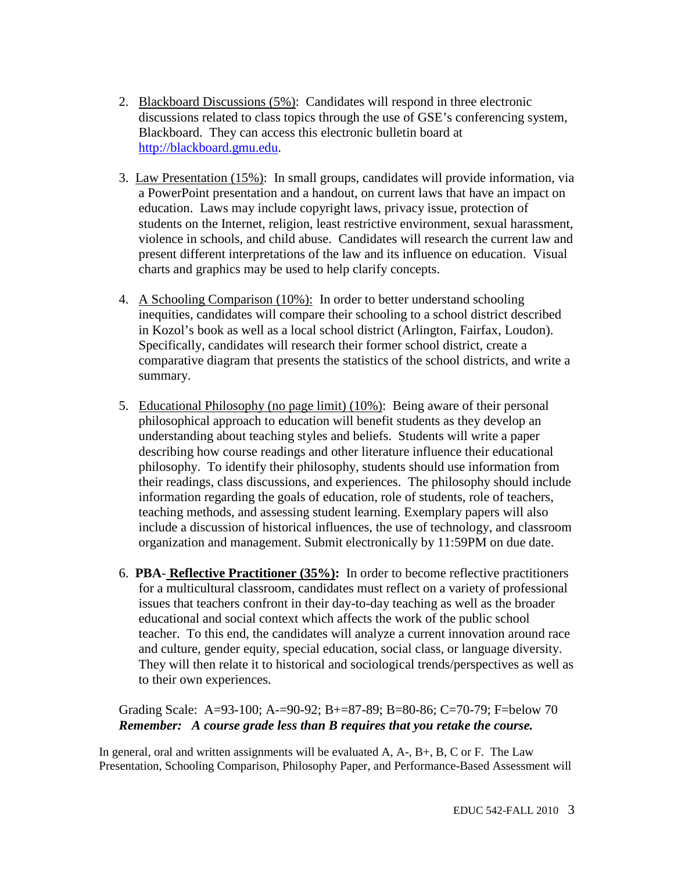- 2. Blackboard Discussions (5%): Candidates will respond in three electronic discussions related to class topics through the use of GSE's conferencing system, Blackboard. They can access this electronic bulletin board at [http://blackboard.gmu.edu.](http://blackboard.gmu.edu/)
- 3. Law Presentation (15%): In small groups, candidates will provide information, via a PowerPoint presentation and a handout, on current laws that have an impact on education. Laws may include copyright laws, privacy issue, protection of students on the Internet, religion, least restrictive environment, sexual harassment, violence in schools, and child abuse. Candidates will research the current law and present different interpretations of the law and its influence on education. Visual charts and graphics may be used to help clarify concepts.
- 4. A Schooling Comparison (10%): In order to better understand schooling inequities, candidates will compare their schooling to a school district described in Kozol's book as well as a local school district (Arlington, Fairfax, Loudon). Specifically, candidates will research their former school district, create a comparative diagram that presents the statistics of the school districts, and write a summary.
- 5. Educational Philosophy (no page limit) (10%): Being aware of their personal philosophical approach to education will benefit students as they develop an understanding about teaching styles and beliefs. Students will write a paper describing how course readings and other literature influence their educational philosophy. To identify their philosophy, students should use information from their readings, class discussions, and experiences. The philosophy should include information regarding the goals of education, role of students, role of teachers, teaching methods, and assessing student learning. Exemplary papers will also include a discussion of historical influences, the use of technology, and classroom organization and management. Submit electronically by 11:59PM on due date.
- 6. **PBA Reflective Practitioner (35%):** In order to become reflective practitioners for a multicultural classroom, candidates must reflect on a variety of professional issues that teachers confront in their day-to-day teaching as well as the broader educational and social context which affects the work of the public school teacher. To this end, the candidates will analyze a current innovation around race and culture, gender equity, special education, social class, or language diversity. They will then relate it to historical and sociological trends/perspectives as well as to their own experiences.

Grading Scale: A=93-100; A-=90-92; B+=87-89; B=80-86; C=70-79; F=below 70 *Remember: A course grade less than B requires that you retake the course.*

In general, oral and written assignments will be evaluated  $A, A, B, B, C$  or F. The Law Presentation, Schooling Comparison, Philosophy Paper, and Performance-Based Assessment will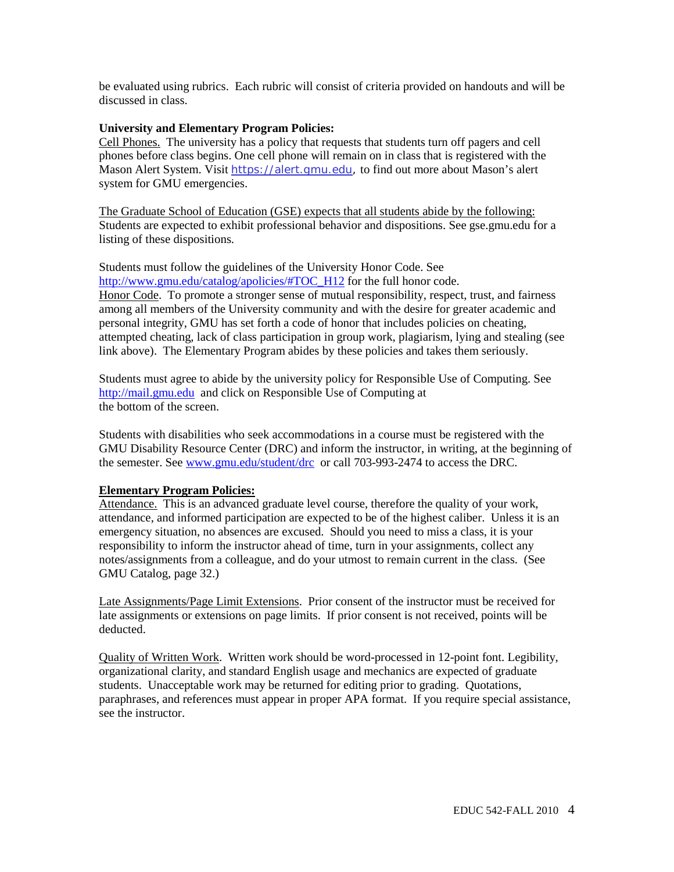be evaluated using rubrics. Each rubric will consist of criteria provided on handouts and will be discussed in class.

### **University and Elementary Program Policies:**

Cell Phones. The university has a policy that requests that students turn off pagers and cell phones before class begins. One cell phone will remain on in class that is registered with the Mason Alert System. Visit [https://alert.gmu.edu,](https://alert.gmu.edu/) to find out more about Mason's alert system for GMU emergencies.

The Graduate School of Education (GSE) expects that all students abide by the following: Students are expected to exhibit professional behavior and dispositions. See gse.gmu.edu for a listing of these dispositions.

Students must follow the guidelines of the University Honor Code. See [http://www.gmu.edu/catalog/apolicies/#TOC\\_H12](http://www.gmu.edu/catalog/apolicies/#TOC_H12) for the full honor code. Honor Code. To promote a stronger sense of mutual responsibility, respect, trust, and fairness among all members of the University community and with the desire for greater academic and personal integrity, GMU has set forth a code of honor that includes policies on cheating, attempted cheating, lack of class participation in group work, plagiarism, lying and stealing (see link above). The Elementary Program abides by these policies and takes them seriously.

Students must agree to abide by the university policy for Responsible Use of Computing. See [http://mail.gmu.edu](http://mail.gmu.edu/) and click on Responsible Use of Computing at the bottom of the screen.

Students with disabilities who seek accommodations in a course must be registered with the GMU Disability Resource Center (DRC) and inform the instructor, in writing, at the beginning of the semester. See [www.gmu.edu/student/drc](http://www.gmu.edu/student/drc) or call 703-993-2474 to access the DRC.

### **Elementary Program Policies:**

Attendance. This is an advanced graduate level course, therefore the quality of your work, attendance, and informed participation are expected to be of the highest caliber. Unless it is an emergency situation, no absences are excused. Should you need to miss a class, it is your responsibility to inform the instructor ahead of time, turn in your assignments, collect any notes/assignments from a colleague, and do your utmost to remain current in the class. (See GMU Catalog, page 32.)

Late Assignments/Page Limit Extensions. Prior consent of the instructor must be received for late assignments or extensions on page limits. If prior consent is not received, points will be deducted.

Quality of Written Work. Written work should be word-processed in 12-point font. Legibility, organizational clarity, and standard English usage and mechanics are expected of graduate students. Unacceptable work may be returned for editing prior to grading. Quotations, paraphrases, and references must appear in proper APA format. If you require special assistance, see the instructor.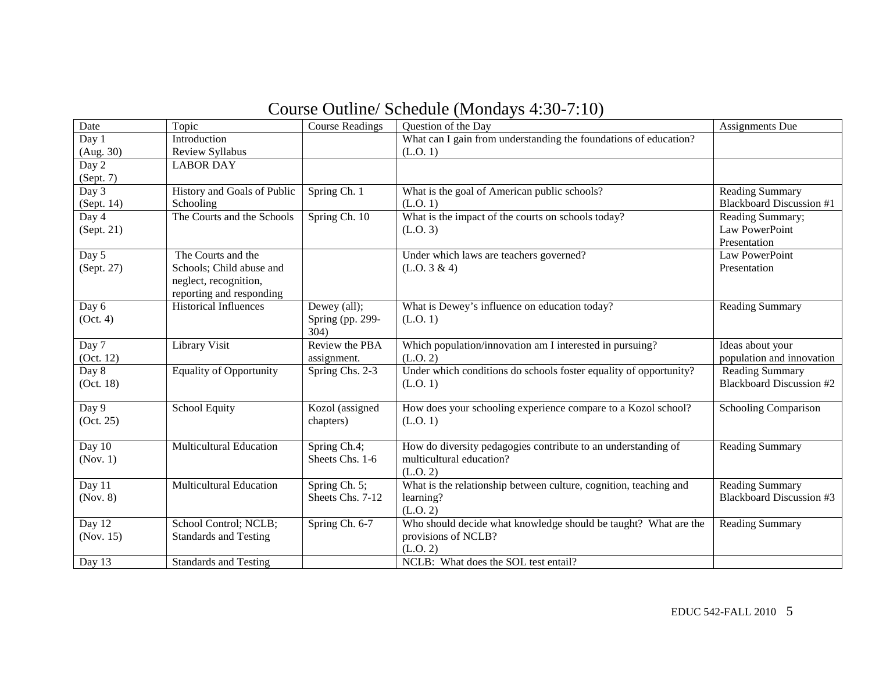| Course Outline/ Schedule (Mondays 4:30-7:10) |  |
|----------------------------------------------|--|
|----------------------------------------------|--|

| Date       | Topic                          | <b>Course Readings</b> | Question of the Day                                               | <b>Assignments Due</b>          |
|------------|--------------------------------|------------------------|-------------------------------------------------------------------|---------------------------------|
| Day $1$    | Introduction                   |                        | What can I gain from understanding the foundations of education?  |                                 |
| (Aug. 30)  | Review Syllabus                |                        | (L.O. 1)                                                          |                                 |
| Day 2      | <b>LABOR DAY</b>               |                        |                                                                   |                                 |
| (Sept. 7)  |                                |                        |                                                                   |                                 |
| Day $3$    | History and Goals of Public    | Spring Ch. 1           | What is the goal of American public schools?                      | Reading Summary                 |
| (Sept. 14) | Schooling                      |                        | (L.O. 1)                                                          | <b>Blackboard Discussion #1</b> |
| Day 4      | The Courts and the Schools     | Spring Ch. 10          | What is the impact of the courts on schools today?                | Reading Summary;                |
| (Sept. 21) |                                |                        | (L.O. 3)                                                          | Law PowerPoint                  |
|            |                                |                        |                                                                   | Presentation                    |
| Day 5      | The Courts and the             |                        | Under which laws are teachers governed?                           | Law PowerPoint                  |
| (Sept. 27) | Schools; Child abuse and       |                        | (L.O. 3 & 4)                                                      | Presentation                    |
|            | neglect, recognition,          |                        |                                                                   |                                 |
|            | reporting and responding       |                        |                                                                   |                                 |
| Day 6      | <b>Historical Influences</b>   | Dewey (all);           | What is Dewey's influence on education today?                     | <b>Reading Summary</b>          |
| (Oct. 4)   |                                | Spring (pp. 299-       | (L.O. 1)                                                          |                                 |
|            |                                | 304)                   |                                                                   |                                 |
| Day 7      | Library Visit                  | Review the PBA         | Which population/innovation am I interested in pursuing?          | Ideas about your                |
| (Oct. 12)  |                                | assignment.            | (L.O. 2)                                                          | population and innovation       |
| Day 8      | <b>Equality of Opportunity</b> | Spring Chs. 2-3        | Under which conditions do schools foster equality of opportunity? | <b>Reading Summary</b>          |
| (Oct. 18)  |                                |                        | (L.O. 1)                                                          | <b>Blackboard Discussion #2</b> |
| Day 9      | <b>School Equity</b>           | Kozol (assigned        | How does your schooling experience compare to a Kozol school?     | Schooling Comparison            |
| (Oct. 25)  |                                | chapters)              | (L.O. 1)                                                          |                                 |
|            |                                |                        |                                                                   |                                 |
| Day 10     | <b>Multicultural Education</b> | Spring Ch.4;           | How do diversity pedagogies contribute to an understanding of     | <b>Reading Summary</b>          |
| (Nov. 1)   |                                | Sheets Chs. 1-6        | multicultural education?                                          |                                 |
|            |                                |                        | (L.O. 2)                                                          |                                 |
| Day 11     | <b>Multicultural Education</b> | Spring Ch. 5;          | What is the relationship between culture, cognition, teaching and | Reading Summary                 |
| (Nov. 8)   |                                | Sheets Chs. 7-12       | learning?                                                         | <b>Blackboard Discussion #3</b> |
|            |                                |                        | (L.O. 2)                                                          |                                 |
| Day 12     | School Control; NCLB;          | Spring Ch. 6-7         | Who should decide what knowledge should be taught? What are the   | <b>Reading Summary</b>          |
| (Nov. 15)  | <b>Standards and Testing</b>   |                        | provisions of NCLB?                                               |                                 |
|            |                                |                        | (L.O. 2)                                                          |                                 |
| Day 13     | <b>Standards and Testing</b>   |                        | NCLB: What does the SOL test entail?                              |                                 |